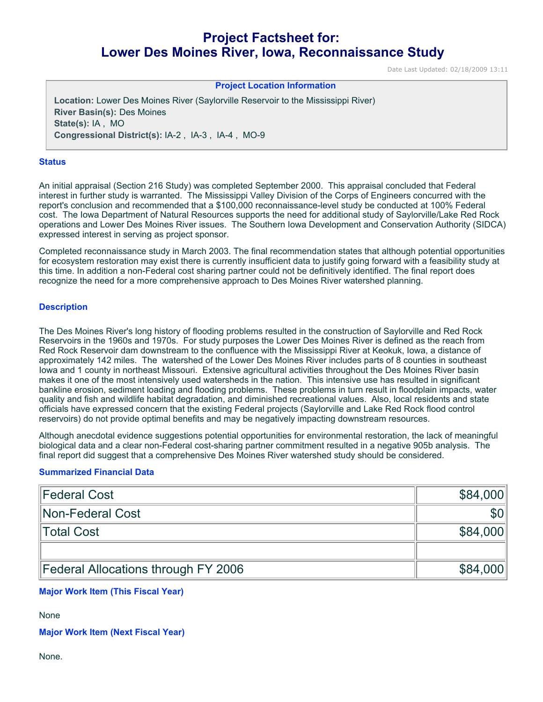# **Project Factsheet for: Lower Des Moines River, Iowa, Reconnaissance Study**

Date Last Updated: 02/18/2009 13:11

#### **Project Location Information**

**Location:** Lower Des Moines River (Saylorville Reservoir to the Mississippi River) **River Basin(s):** Des Moines **State(s):** IA , MO **Congressional District(s):** IA-2 , IA-3 , IA-4 , MO-9

#### **Status**

An initial appraisal (Section 216 Study) was completed September 2000. This appraisal concluded that Federal interest in further study is warranted. The Mississippi Valley Division of the Corps of Engineers concurred with the report's conclusion and recommended that a \$100,000 reconnaissance-level study be conducted at 100% Federal cost. The Iowa Department of Natural Resources supports the need for additional study of Saylorville/Lake Red Rock operations and Lower Des Moines River issues. The Southern Iowa Development and Conservation Authority (SIDCA) expressed interest in serving as project sponsor.

Completed reconnaissance study in March 2003. The final recommendation states that although potential opportunities for ecosystem restoration may exist there is currently insufficient data to justify going forward with a feasibility study at this time. In addition a non-Federal cost sharing partner could not be definitively identified. The final report does recognize the need for a more comprehensive approach to Des Moines River watershed planning.

### **Description**

The Des Moines River's long history of flooding problems resulted in the construction of Saylorville and Red Rock Reservoirs in the 1960s and 1970s. For study purposes the Lower Des Moines River is defined as the reach from Red Rock Reservoir dam downstream to the confluence with the Mississippi River at Keokuk, Iowa, a distance of approximately 142 miles. The watershed of the Lower Des Moines River includes parts of 8 counties in southeast Iowa and 1 county in northeast Missouri. Extensive agricultural activities throughout the Des Moines River basin makes it one of the most intensively used watersheds in the nation. This intensive use has resulted in significant bankline erosion, sediment loading and flooding problems. These problems in turn result in floodplain impacts, water quality and fish and wildlife habitat degradation, and diminished recreational values. Also, local residents and state officials have expressed concern that the existing Federal projects (Saylorville and Lake Red Rock flood control reservoirs) do not provide optimal benefits and may be negatively impacting downstream resources.

Although anecdotal evidence suggestions potential opportunities for environmental restoration, the lack of meaningful biological data and a clear non-Federal cost-sharing partner commitment resulted in a negative 905b analysis. The final report did suggest that a comprehensive Des Moines River watershed study should be considered.

### **Summarized Financial Data**

| Federal Cost                        | \$84,000 |
|-------------------------------------|----------|
| Non-Federal Cost                    |          |
| Total Cost                          | \$84,000 |
|                                     |          |
| Federal Allocations through FY 2006 | \$84,000 |

## **Major Work Item (This Fiscal Year)**

None

**Major Work Item (Next Fiscal Year)**

None.